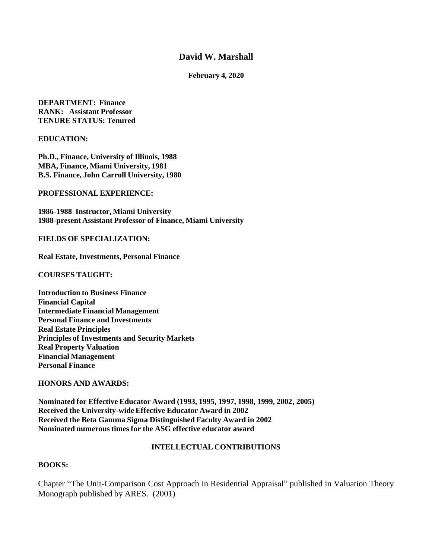# **David W. Marshall**

#### **February 4, 2020**

**DEPARTMENT: Finance RANK: Assistant Professor TENURE STATUS: Tenured**

**EDUCATION:**

**Ph.D., Finance, University of Illinois, 1988 MBA, Finance, Miami University, 1981 B.S. Finance, John Carroll University, 1980**

**PROFESSIONAL EXPERIENCE:**

**1986-1988 Instructor, Miami University 1988-present Assistant Professor of Finance, Miami University**

**FIELDS OF SPECIALIZATION:**

**Real Estate, Investments, Personal Finance**

**COURSES TAUGHT:** 

**Introduction to Business Finance Financial Capital Intermediate Financial Management Personal Finance and Investments Real Estate Principles Principles of Investments and Security Markets Real Property Valuation Financial Management Personal Finance**

#### **HONORS AND AWARDS:**

**Nominated for Effective Educator Award (1993, 1995, 1997, 1998, 1999, 2002, 2005) Received the University-wide Effective Educator Award in 2002 Received the Beta Gamma Sigma Distinguished Faculty Award in 2002 Nominated numerous times for the ASG effective educator award**

#### **INTELLECTUAL CONTRIBUTIONS**

#### **BOOKS:**

Chapter "The Unit-Comparison Cost Approach in Residential Appraisal" published in Valuation Theory Monograph published by ARES. (2001)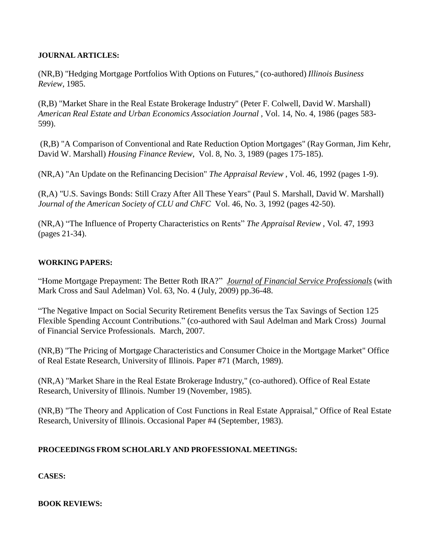# **JOURNAL ARTICLES:**

(NR,B) "Hedging Mortgage Portfolios With Options on Futures," (co-authored) *Illinois Business Review*, 1985.

(R,B) "Market Share in the Real Estate Brokerage Industry" (Peter F. Colwell, David W. Marshall) *American Real Estate and Urban Economics Association Journal* , Vol. 14, No. 4, 1986 (pages 583- 599).

(R,B) "A Comparison of Conventional and Rate Reduction Option Mortgages" (Ray Gorman, Jim Kehr, David W. Marshall) *Housing Finance Review*, Vol. 8, No. 3, 1989 (pages 175-185).

(NR,A) "An Update on the Refinancing Decision" *The Appraisal Review* , Vol. 46, 1992 (pages 1-9).

(R,A) "U.S. Savings Bonds: Still Crazy After All These Years" (Paul S. Marshall, David W. Marshall) *Journal of the American Society of CLU and ChFC* Vol. 46, No. 3, 1992 (pages 42-50).

(NR,A) "The Influence of Property Characteristics on Rents" *The Appraisal Review* , Vol. 47, 1993 (pages 21-34).

# **WORKING PAPERS:**

"Home Mortgage Prepayment: The Better Roth IRA?" *Journal of Financial Service Professionals* (with Mark Cross and Saul Adelman) Vol. 63, No. 4 (July, 2009) pp.36-48.

"The Negative Impact on Social Security Retirement Benefits versus the Tax Savings of Section 125 Flexible Spending Account Contributions." (co-authored with Saul Adelman and Mark Cross) Journal of Financial Service Professionals. March, 2007.

(NR,B) "The Pricing of Mortgage Characteristics and Consumer Choice in the Mortgage Market" Office of Real Estate Research, University of Illinois. Paper #71 (March, 1989).

(NR,A) "Market Share in the Real Estate Brokerage Industry," (co-authored). Office of Real Estate Research, University of Illinois. Number 19 (November, 1985).

(NR,B) "The Theory and Application of Cost Functions in Real Estate Appraisal," Office of Real Estate Research, University of Illinois. Occasional Paper #4 (September, 1983).

## **PROCEEDINGS FROM SCHOLARLY AND PROFESSIONAL MEETINGS:**

**CASES:**

**BOOK REVIEWS:**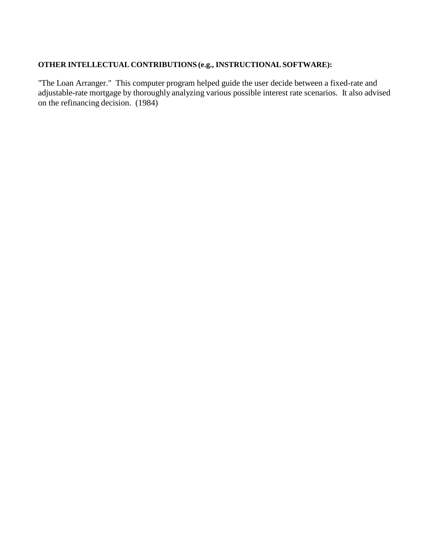# **OTHER INTELLECTUAL CONTRIBUTIONS (e.g., INSTRUCTIONALSOFTWARE):**

"The Loan Arranger." This computer program helped guide the user decide between a fixed-rate and adjustable-rate mortgage by thoroughly analyzing various possible interest rate scenarios. It also advised on the refinancing decision. (1984)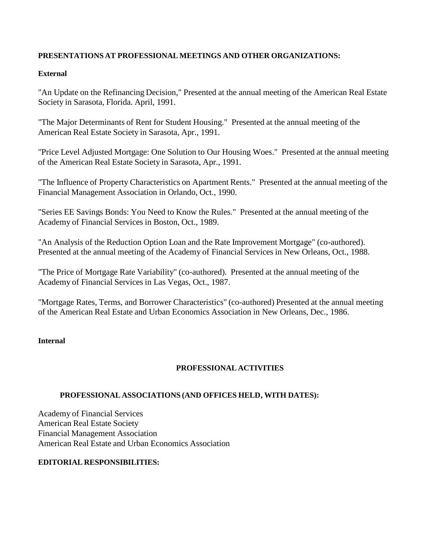# **PRESENTATIONS AT PROFESSIONAL MEETINGS AND OTHER ORGANIZATIONS:**

# **External**

"An Update on the Refinancing Decision," Presented at the annual meeting of the American Real Estate Society in Sarasota, Florida. April, 1991.

"The Major Determinants of Rent for Student Housing." Presented at the annual meeting of the American Real Estate Society in Sarasota, Apr., 1991.

"Price Level Adjusted Mortgage: One Solution to Our Housing Woes." Presented at the annual meeting of the American Real Estate Society in Sarasota, Apr., 1991.

"The Influence of Property Characteristics on Apartment Rents." Presented at the annual meeting of the Financial Management Association in Orlando, Oct., 1990.

"Series EE Savings Bonds: You Need to Know the Rules." Presented at the annual meeting of the Academy of Financial Services in Boston, Oct., 1989.

"An Analysis of the Reduction Option Loan and the Rate Improvement Mortgage" (co-authored). Presented at the annual meeting of the Academy of Financial Services in New Orleans, Oct., 1988.

"The Price of Mortgage Rate Variability" (co-authored). Presented at the annual meeting of the Academy of Financial Services in Las Vegas, Oct., 1987.

"Mortgage Rates, Terms, and Borrower Characteristics" (co-authored) Presented at the annual meeting of the American Real Estate and Urban Economics Association in New Orleans, Dec., 1986.

## **Internal**

# **PROFESSIONAL ACTIVITIES**

## **PROFESSIONAL ASSOCIATIONS (AND OFFICES HELD, WITH DATES):**

Academy of Financial Services American Real Estate Society Financial Management Association American Real Estate and Urban Economics Association

## **EDITORIAL RESPONSIBILITIES:**